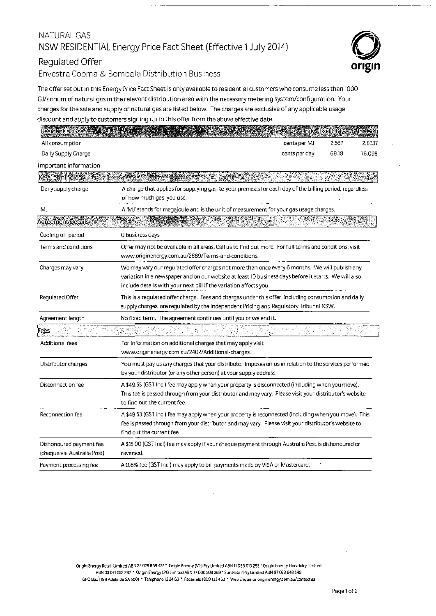# NATURAL GAS NSW RESIDENTIAL Energy Price Fact Sheet (Effective 1July2014)

## Regulated Offer

Envestra Cooma & Bombala Distribution Business

The offer set out in this Energy Price Fact Sheet is only available to residential customers who consume less than 1000 GJ/annum of natural gas in the relevant distribution area with the necessary metering system/configuration. Your charges for the sale and supply of natural gas are listed below. The charges are exclusive of any applicable usage discount and apply to customers signing up to this offer from the above effective date.

| <b>Residential Gas</b>                                 |                                                                                                                                                                                                                                                                             |               | Unite Exclicister | <b>Inclest</b> |  |
|--------------------------------------------------------|-----------------------------------------------------------------------------------------------------------------------------------------------------------------------------------------------------------------------------------------------------------------------------|---------------|-------------------|----------------|--|
| Ali consumption                                        |                                                                                                                                                                                                                                                                             | cents per MJ  | 2.567             | 2.8237         |  |
| Daily Supply Charge                                    |                                                                                                                                                                                                                                                                             | cents per day | 69.18             | 76.098         |  |
| Important information                                  |                                                                                                                                                                                                                                                                             |               |                   |                |  |
| Key Terminology                                        |                                                                                                                                                                                                                                                                             |               |                   |                |  |
| Daily supply charge                                    | A charge that applies for supplying gas to your premises for each day of the billing period, regardless<br>of how much gas you use.                                                                                                                                         |               |                   |                |  |
| MJ                                                     | A 'MJ' stands for megajoule and is the unit of measurement for your gas usage charges.                                                                                                                                                                                      |               |                   |                |  |
| greement Details                                       |                                                                                                                                                                                                                                                                             |               |                   |                |  |
| Cooling off period                                     | 0 business days                                                                                                                                                                                                                                                             |               |                   |                |  |
| Terms and conditions                                   | Offer may not be available in all areas. Call us to find out more. For full terms and conditions, visit<br>www.originenergy.com.au/2889/Terms-and-conditions.                                                                                                               |               |                   |                |  |
| Charges may vary                                       | We may vary our regulated offer charges not more than once every 6 months. We will publish any<br>variation in a newspaper and on our website at least 10 business days before it starts. We will also<br>include details with your next bill if the variation affects you. |               |                   |                |  |
| Regulated Offer                                        | This is a regulated offer charge. Fees and charges under this offer, including consumption and daily<br>supply charges, are regulated by the Independent Pricing and Regulatory Tribunal NSW.                                                                               |               |                   |                |  |
| Agreement length                                       | No fixed term. The agreement continues until you or we end it.                                                                                                                                                                                                              |               |                   |                |  |
| ees                                                    |                                                                                                                                                                                                                                                                             |               |                   |                |  |
| Additional fees                                        | For information on additional charges that may apply visit<br>www.originenergy.com.au/2402/Additional-charges.                                                                                                                                                              |               |                   |                |  |
| Distributor charges                                    | You must pay us any charges that your distributor imposes on us in relation to the services performed<br>by your distributor (or any other person) at your supply address.                                                                                                  |               |                   |                |  |
| Disconnection fee                                      | A \$49.53 (GST Incl) fee may apply when your property is disconnected (including when you move).<br>This fee is passed through from your distributor and may vary. Please visit your distributor's website<br>to find out the current fee.                                  |               |                   |                |  |
| Reconnection fee                                       | A \$49.53 (GST Incl) fee may apply when your property is reconnected (including when you move). This<br>fee is passed through from your distributor and may vary. Please visit your distributor's website to<br>find out the current fee.                                   |               |                   |                |  |
| Dishonoured payment fee<br>(cheque via Australia Post) | A \$15.00 (GST Incl) fee may apply if your cheque payment through Australia Post is dishonoured or<br>reversed.                                                                                                                                                             |               |                   |                |  |
| Payment processing fee                                 | A 0.6% fee (GST Incl) may apply to bill payments made by VISA or Mastercard.                                                                                                                                                                                                |               |                   |                |  |

Origin Energy Retail Limited ABN 22 078 868 425 • Origin Energy (Vic) Pty limited ABN 11 086 013 283 ·Origin Energy Electricity Limited ABN 33 071 052 287 • Origin Energy lPG Limited ABN 77 000 SOB 369 •Sun Retail Pty Limited ABN 97 078 848 549 GPO Box'1199 Adelaide SA 5001 • Telephone 13 24 63 • Facsimile 1800132 463 • Web Enquiries originenergy.com.au/contactus